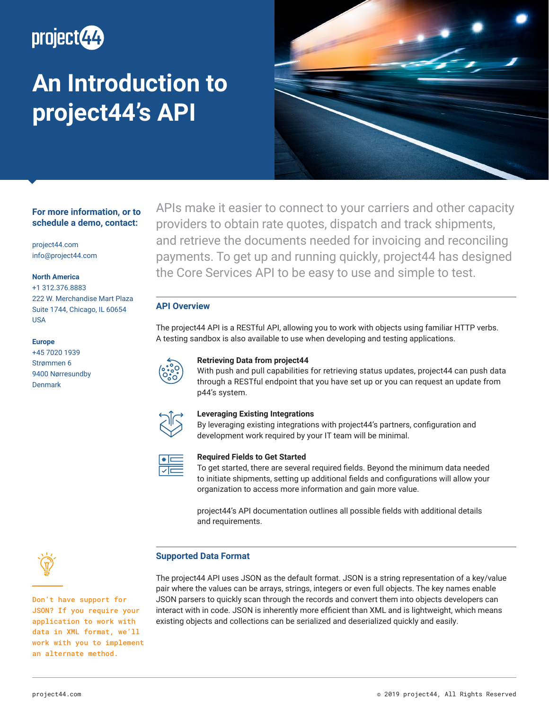

# **An Introduction to project44's API**



# **For more information, or to schedule a demo, contact:**

project44.com info@project44.com

## **North America**

+1 312.376.8883 222 W. Merchandise Mart Plaza Suite 1744, Chicago, IL 60654 USA

## **Europe**

+45 7020 1939 Strømmen 6 9400 Nørresundby Denmark

APIs make it easier to connect to your carriers and other capacity providers to obtain rate quotes, dispatch and track shipments, and retrieve the documents needed for invoicing and reconciling payments. To get up and running quickly, project44 has designed the Core Services API to be easy to use and simple to test.

# **API Overview**

The project44 API is a RESTful API, allowing you to work with objects using familiar HTTP verbs. A testing sandbox is also available to use when developing and testing applications.

# **Retrieving Data from project44**

With push and pull capabilities for retrieving status updates, project44 can push data through a RESTful endpoint that you have set up or you can request an update from p44's system.



# **Leveraging Existing Integrations**

By leveraging existing integrations with project44's partners, configuration and development work required by your IT team will be minimal.



#### **Required Fields to Get Started**

To get started, there are several required fields. Beyond the minimum data needed to initiate shipments, setting up additional fields and configurations will allow your organization to access more information and gain more value.

project44's API documentation outlines all possible fields with additional details and requirements.

## **Supported Data Format**

Don't have support for JSON? If you require your application to work with data in XML format, we'll work with you to implement an alternate method.

The project44 API uses JSON as the default format. JSON is a string representation of a key/value pair where the values can be arrays, strings, integers or even full objects. The key names enable JSON parsers to quickly scan through the records and convert them into objects developers can interact with in code. JSON is inherently more efficient than XML and is lightweight, which means existing objects and collections can be serialized and deserialized quickly and easily.